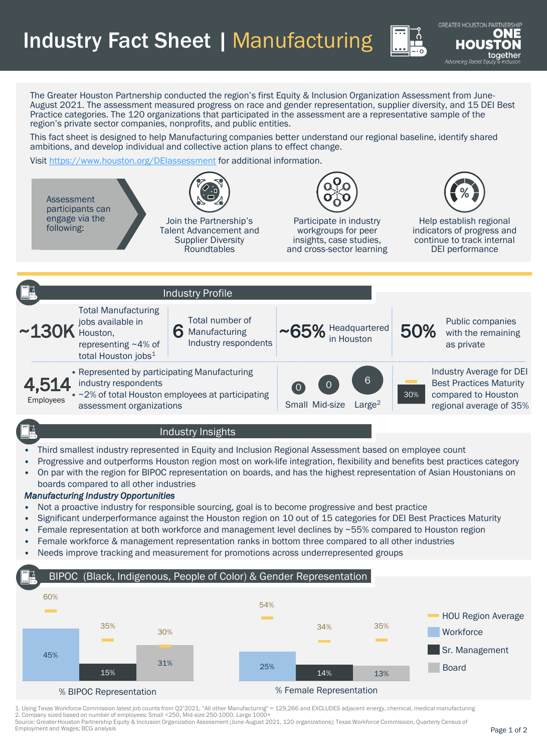Industry Fact Sheet | Manufacturing

**GREATER HOUSTON PARTN TOTU** Advancing Racial Equi

The Greater Houston Partnership conducted the region's first Equity & Inclusion Organization Assessment from June-August 2021. The assessment measured progress on race and gender representation, supplier diversity, and 15 DEI Best Practice categories. The 120 organizations that participated in the assessment are a representative sample of the region's private sector companies, nonprofits, and public entities.

This fact sheet is designed to help Manufacturing companies better understand our regional baseline, identify shared ambitions, and develop individual and collective action plans to effect change.

Visit <https://www.houston.org/DEIassessment> for additional information.



## • Third smallest industry represented in Equity and Inclusion Regional Assessment based on employee count

- Progressive and outperforms Houston region most on work-life integration, flexibility and benefits best practices category
- On par with the region for BIPOC representation on boards, and has the highest representation of Asian Houstonians on boards compared to all other industries

## *Manufacturing Industry Opportunities*

- Not a proactive industry for responsible sourcing, goal is to become progressive and best practice
- Significant underperformance against the Houston region on 10 out of 15 categories for DEI Best Practices Maturity
- Female representation at both workforce and management level declines by ~55% compared to Houston region
- Female workforce & management representation ranks in bottom three compared to all other industries
- Needs improve tracking and measurement for promotions across underrepresented groups

## BIPOC (Black, Indigenous, People of Color) & Gender Representation



1. Using Texas Workforce Commission latest job counts from Q2'2021, "All other Manufacturing" = 129,266 and EXCLUDES adjacent energy, chemical, medical manufacturing 2. Company sized based on number of employees: Small <250, Mid-size 250-1000, Large 1000+

Source: Greater Houston Partnership Equity & Inclusion Organization Assessment (June-August 2021, 120 organizations); Texas Workforce Commission, Quarterly Census of Employment and Wages; BCG analysis